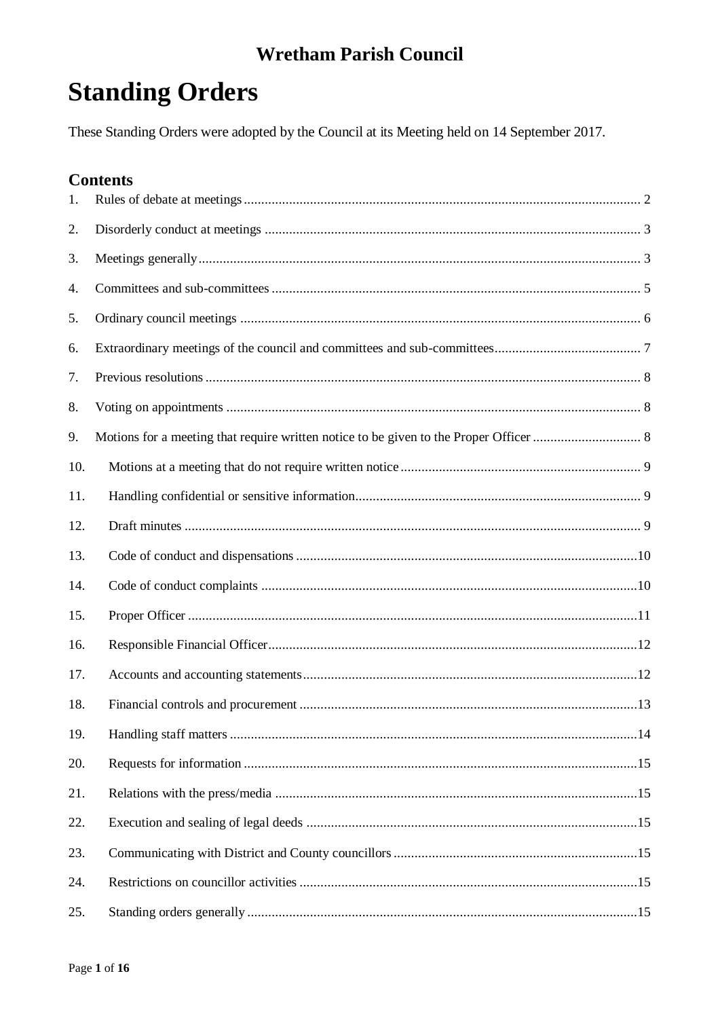# **Standing Orders**

These Standing Orders were adopted by the Council at its Meeting held on 14 September 2017.

### **Contents**

| 1.  |  |
|-----|--|
| 2.  |  |
| 3.  |  |
| 4.  |  |
| 5.  |  |
| 6.  |  |
| 7.  |  |
| 8.  |  |
| 9.  |  |
| 10. |  |
| 11. |  |
| 12. |  |
| 13. |  |
| 14. |  |
| 15. |  |
| 16. |  |
| 17. |  |
| 18. |  |
|     |  |
| 20. |  |
| 21. |  |
| 22. |  |
| 23. |  |
| 24. |  |
| 25. |  |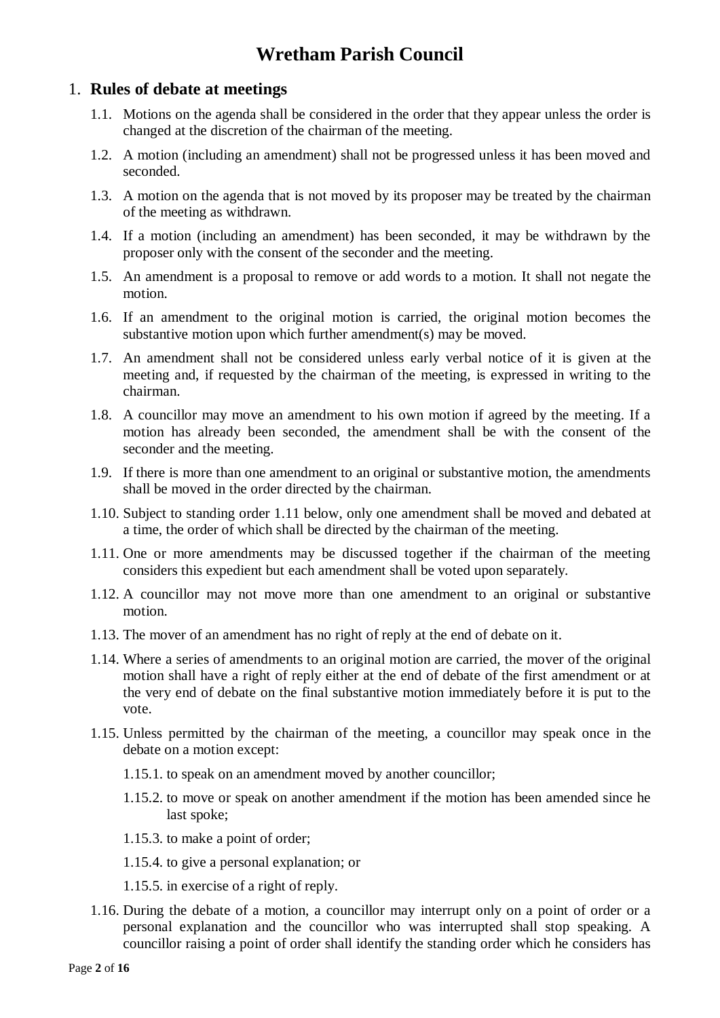### <span id="page-1-0"></span>1. **Rules of debate at meetings**

- 1.1. Motions on the agenda shall be considered in the order that they appear unless the order is changed at the discretion of the chairman of the meeting.
- 1.2. A motion (including an amendment) shall not be progressed unless it has been moved and seconded.
- 1.3. A motion on the agenda that is not moved by its proposer may be treated by the chairman of the meeting as withdrawn.
- 1.4. If a motion (including an amendment) has been seconded, it may be withdrawn by the proposer only with the consent of the seconder and the meeting.
- 1.5. An amendment is a proposal to remove or add words to a motion. It shall not negate the motion.
- 1.6. If an amendment to the original motion is carried, the original motion becomes the substantive motion upon which further amendment(s) may be moved.
- 1.7. An amendment shall not be considered unless early verbal notice of it is given at the meeting and, if requested by the chairman of the meeting, is expressed in writing to the chairman.
- 1.8. A councillor may move an amendment to his own motion if agreed by the meeting. If a motion has already been seconded, the amendment shall be with the consent of the seconder and the meeting.
- 1.9. If there is more than one amendment to an original or substantive motion, the amendments shall be moved in the order directed by the chairman.
- 1.10. Subject to standing order 1.11 below, only one amendment shall be moved and debated at a time, the order of which shall be directed by the chairman of the meeting.
- 1.11. One or more amendments may be discussed together if the chairman of the meeting considers this expedient but each amendment shall be voted upon separately.
- 1.12. A councillor may not move more than one amendment to an original or substantive motion.
- 1.13. The mover of an amendment has no right of reply at the end of debate on it.
- 1.14. Where a series of amendments to an original motion are carried, the mover of the original motion shall have a right of reply either at the end of debate of the first amendment or at the very end of debate on the final substantive motion immediately before it is put to the vote.
- 1.15. Unless permitted by the chairman of the meeting, a councillor may speak once in the debate on a motion except:
	- 1.15.1. to speak on an amendment moved by another councillor;
	- 1.15.2. to move or speak on another amendment if the motion has been amended since he last spoke;
	- 1.15.3. to make a point of order;
	- 1.15.4. to give a personal explanation; or
	- 1.15.5. in exercise of a right of reply.
- 1.16. During the debate of a motion, a councillor may interrupt only on a point of order or a personal explanation and the councillor who was interrupted shall stop speaking. A councillor raising a point of order shall identify the standing order which he considers has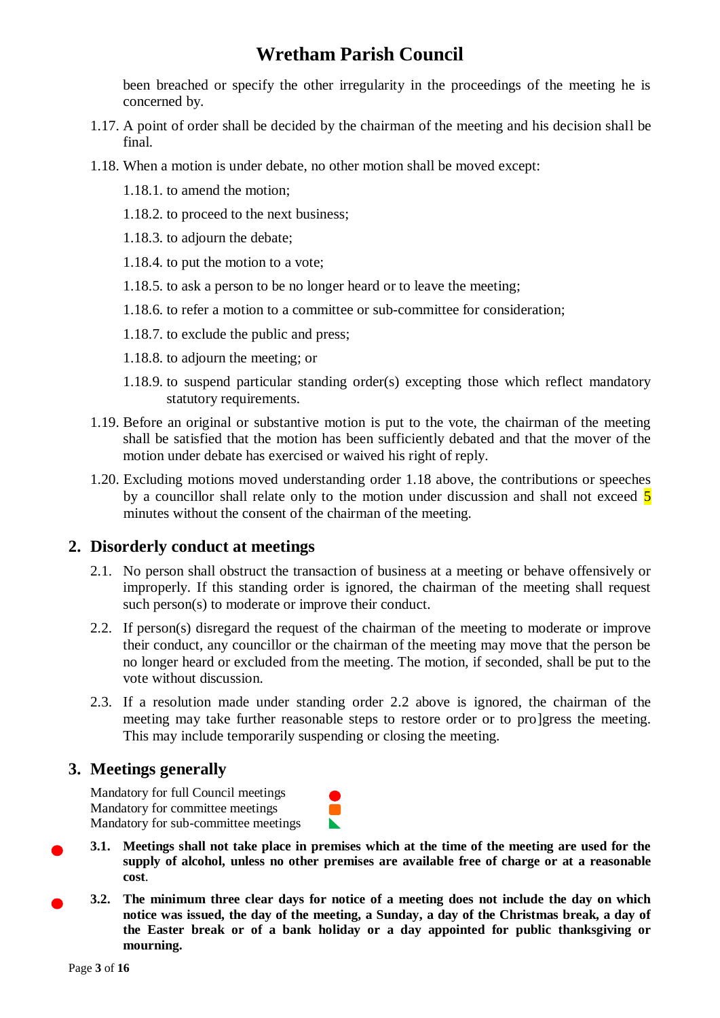been breached or specify the other irregularity in the proceedings of the meeting he is concerned by.

- 1.17. A point of order shall be decided by the chairman of the meeting and his decision shall be final.
- 1.18. When a motion is under debate, no other motion shall be moved except:
	- 1.18.1. to amend the motion;
	- 1.18.2. to proceed to the next business;
	- 1.18.3. to adjourn the debate;
	- 1.18.4. to put the motion to a vote;
	- 1.18.5. to ask a person to be no longer heard or to leave the meeting;
	- 1.18.6. to refer a motion to a committee or sub-committee for consideration;
	- 1.18.7. to exclude the public and press;
	- 1.18.8. to adjourn the meeting; or
	- 1.18.9. to suspend particular standing order(s) excepting those which reflect mandatory statutory requirements.
- 1.19. Before an original or substantive motion is put to the vote, the chairman of the meeting shall be satisfied that the motion has been sufficiently debated and that the mover of the motion under debate has exercised or waived his right of reply.
- 1.20. Excluding motions moved understanding order 1.18 above, the contributions or speeches by a councillor shall relate only to the motion under discussion and shall not exceed 5 minutes without the consent of the chairman of the meeting.

### <span id="page-2-0"></span>**2. Disorderly conduct at meetings**

- 2.1. No person shall obstruct the transaction of business at a meeting or behave offensively or improperly. If this standing order is ignored, the chairman of the meeting shall request such person(s) to moderate or improve their conduct.
- 2.2. If person(s) disregard the request of the chairman of the meeting to moderate or improve their conduct, any councillor or the chairman of the meeting may move that the person be no longer heard or excluded from the meeting. The motion, if seconded, shall be put to the vote without discussion.
- 2.3. If a resolution made under standing order 2.2 above is ignored, the chairman of the meeting may take further reasonable steps to restore order or to pro]gress the meeting. This may include temporarily suspending or closing the meeting.

### <span id="page-2-1"></span>**3. Meetings generally**

Mandatory for full Council meetings Mandatory for committee meetings Mandatory for sub-committee meetings

- **3.1. Meetings shall not take place in premises which at the time of the meeting are used for the supply of alcohol, unless no other premises are available free of charge or at a reasonable cost**.
- **3.2. The minimum three clear days for notice of a meeting does not include the day on which notice was issued, the day of the meeting, a Sunday, a day of the Christmas break, a day of the Easter break or of a bank holiday or a day appointed for public thanksgiving or mourning.**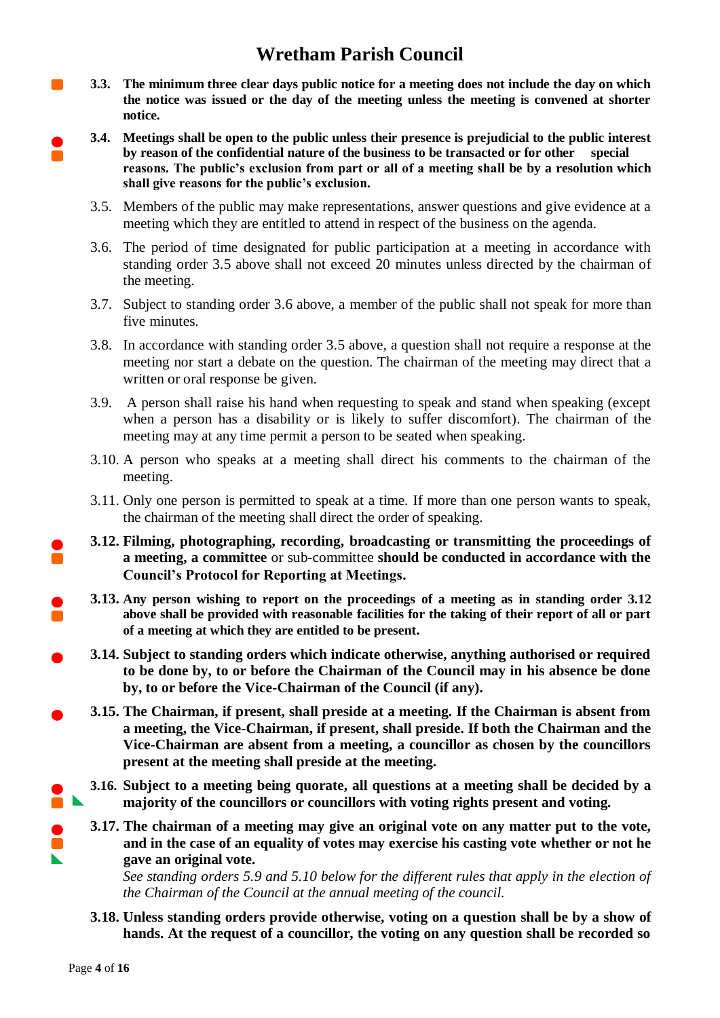- **3.3. The minimum three clear days public notice for a meeting does not include the day on which the notice was issued or the day of the meeting unless the meeting is convened at shorter notice.**
- **3.4. Meetings shall be open to the public unless their presence is prejudicial to the public interest by reason of the confidential nature of the business to be transacted or for other special reasons. The public's exclusion from part or all of a meeting shall be by a resolution which shall give reasons for the public's exclusion.**
	- 3.5. Members of the public may make representations, answer questions and give evidence at a meeting which they are entitled to attend in respect of the business on the agenda.
	- 3.6. The period of time designated for public participation at a meeting in accordance with standing order 3.5 above shall not exceed 20 minutes unless directed by the chairman of the meeting.
	- 3.7. Subject to standing order 3.6 above, a member of the public shall not speak for more than five minutes.
	- 3.8. In accordance with standing order 3.5 above, a question shall not require a response at the meeting nor start a debate on the question. The chairman of the meeting may direct that a written or oral response be given.
	- 3.9. A person shall raise his hand when requesting to speak and stand when speaking (except when a person has a disability or is likely to suffer discomfort). The chairman of the meeting may at any time permit a person to be seated when speaking.
	- 3.10. A person who speaks at a meeting shall direct his comments to the chairman of the meeting.
	- 3.11. Only one person is permitted to speak at a time. If more than one person wants to speak, the chairman of the meeting shall direct the order of speaking.
	- **3.12. Filming, photographing, recording, broadcasting or transmitting the proceedings of a meeting, a committee** or sub-committee **should be conducted in accordance with the Council's Protocol for Reporting at Meetings.**
	- **3.13. Any person wishing to report on the proceedings of a meeting as in standing order 3.12 above shall be provided with reasonable facilities for the taking of their report of all or part of a meeting at which they are entitled to be present.**
	- **3.14. Subject to standing orders which indicate otherwise, anything authorised or required to be done by, to or before the Chairman of the Council may in his absence be done by, to or before the Vice-Chairman of the Council (if any).**
	- **3.15. The Chairman, if present, shall preside at a meeting. If the Chairman is absent from a meeting, the Vice-Chairman, if present, shall preside. If both the Chairman and the Vice-Chairman are absent from a meeting, a councillor as chosen by the councillors present at the meeting shall preside at the meeting.**
	- **3.16. Subject to a meeting being quorate, all questions at a meeting shall be decided by a majority of the councillors or councillors with voting rights present and voting.**
	- **3.17. The chairman of a meeting may give an original vote on any matter put to the vote, and in the case of an equality of votes may exercise his casting vote whether or not he gave an original vote.**

*See standing orders 5.9 and 5.10 below for the different rules that apply in the election of the Chairman of the Council at the annual meeting of the council.*

**3.18. Unless standing orders provide otherwise, voting on a question shall be by a show of hands. At the request of a councillor, the voting on any question shall be recorded so** 

 $\blacksquare$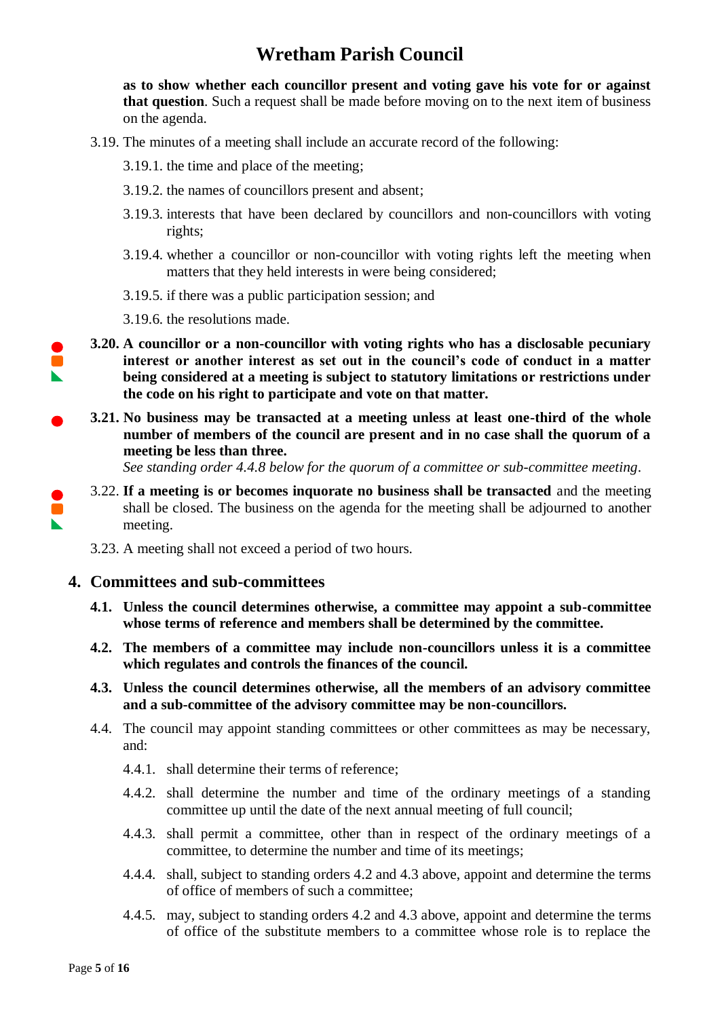**as to show whether each councillor present and voting gave his vote for or against that question**. Such a request shall be made before moving on to the next item of business on the agenda.

- 3.19. The minutes of a meeting shall include an accurate record of the following:
	- 3.19.1. the time and place of the meeting;
	- 3.19.2. the names of councillors present and absent;
	- 3.19.3. interests that have been declared by councillors and non-councillors with voting rights;
	- 3.19.4. whether a councillor or non-councillor with voting rights left the meeting when matters that they held interests in were being considered;
	- 3.19.5. if there was a public participation session; and
	- 3.19.6. the resolutions made.
- **3.20. A councillor or a non-councillor with voting rights who has a disclosable pecuniary interest or another interest as set out in the council's code of conduct in a matter being considered at a meeting is subject to statutory limitations or restrictions under the code on his right to participate and vote on that matter.**
- **3.21. No business may be transacted at a meeting unless at least one-third of the whole number of members of the council are present and in no case shall the quorum of a meeting be less than three.**

*See standing order 4.4.8 below for the quorum of a committee or sub-committee meeting*.

3.22. **If a meeting is or becomes inquorate no business shall be transacted** and the meeting shall be closed. The business on the agenda for the meeting shall be adjourned to another meeting.

3.23. A meeting shall not exceed a period of two hours.

#### <span id="page-4-0"></span>**4. Committees and sub-committees**

- **4.1. Unless the council determines otherwise, a committee may appoint a sub-committee whose terms of reference and members shall be determined by the committee.**
- **4.2. The members of a committee may include non-councillors unless it is a committee which regulates and controls the finances of the council.**
- **4.3. Unless the council determines otherwise, all the members of an advisory committee and a sub-committee of the advisory committee may be non-councillors.**
- 4.4. The council may appoint standing committees or other committees as may be necessary, and:
	- 4.4.1. shall determine their terms of reference;
	- 4.4.2. shall determine the number and time of the ordinary meetings of a standing committee up until the date of the next annual meeting of full council;
	- 4.4.3. shall permit a committee, other than in respect of the ordinary meetings of a committee, to determine the number and time of its meetings;
	- 4.4.4. shall, subject to standing orders 4.2 and 4.3 above, appoint and determine the terms of office of members of such a committee;
	- 4.4.5. may, subject to standing orders 4.2 and 4.3 above, appoint and determine the terms of office of the substitute members to a committee whose role is to replace the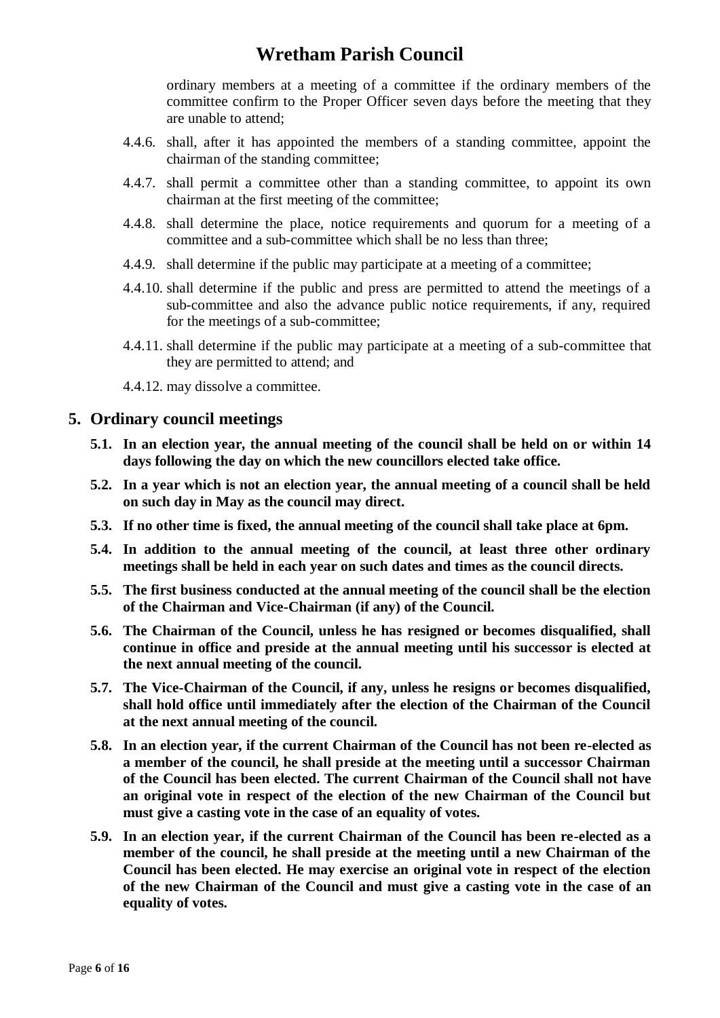ordinary members at a meeting of a committee if the ordinary members of the committee confirm to the Proper Officer seven days before the meeting that they are unable to attend;

- 4.4.6. shall, after it has appointed the members of a standing committee, appoint the chairman of the standing committee;
- 4.4.7. shall permit a committee other than a standing committee, to appoint its own chairman at the first meeting of the committee;
- 4.4.8. shall determine the place, notice requirements and quorum for a meeting of a committee and a sub-committee which shall be no less than three;
- 4.4.9. shall determine if the public may participate at a meeting of a committee;
- 4.4.10. shall determine if the public and press are permitted to attend the meetings of a sub-committee and also the advance public notice requirements, if any, required for the meetings of a sub-committee;
- 4.4.11. shall determine if the public may participate at a meeting of a sub-committee that they are permitted to attend; and
- 4.4.12. may dissolve a committee.

#### <span id="page-5-0"></span>**5. Ordinary council meetings**

- **5.1. In an election year, the annual meeting of the council shall be held on or within 14 days following the day on which the new councillors elected take office.**
- **5.2. In a year which is not an election year, the annual meeting of a council shall be held on such day in May as the council may direct.**
- **5.3. If no other time is fixed, the annual meeting of the council shall take place at 6pm.**
- **5.4. In addition to the annual meeting of the council, at least three other ordinary meetings shall be held in each year on such dates and times as the council directs.**
- **5.5. The first business conducted at the annual meeting of the council shall be the election of the Chairman and Vice-Chairman (if any) of the Council.**
- **5.6. The Chairman of the Council, unless he has resigned or becomes disqualified, shall continue in office and preside at the annual meeting until his successor is elected at the next annual meeting of the council.**
- **5.7. The Vice-Chairman of the Council, if any, unless he resigns or becomes disqualified, shall hold office until immediately after the election of the Chairman of the Council at the next annual meeting of the council.**
- **5.8. In an election year, if the current Chairman of the Council has not been re-elected as a member of the council, he shall preside at the meeting until a successor Chairman of the Council has been elected. The current Chairman of the Council shall not have an original vote in respect of the election of the new Chairman of the Council but must give a casting vote in the case of an equality of votes.**
- **5.9. In an election year, if the current Chairman of the Council has been re-elected as a member of the council, he shall preside at the meeting until a new Chairman of the Council has been elected. He may exercise an original vote in respect of the election of the new Chairman of the Council and must give a casting vote in the case of an equality of votes.**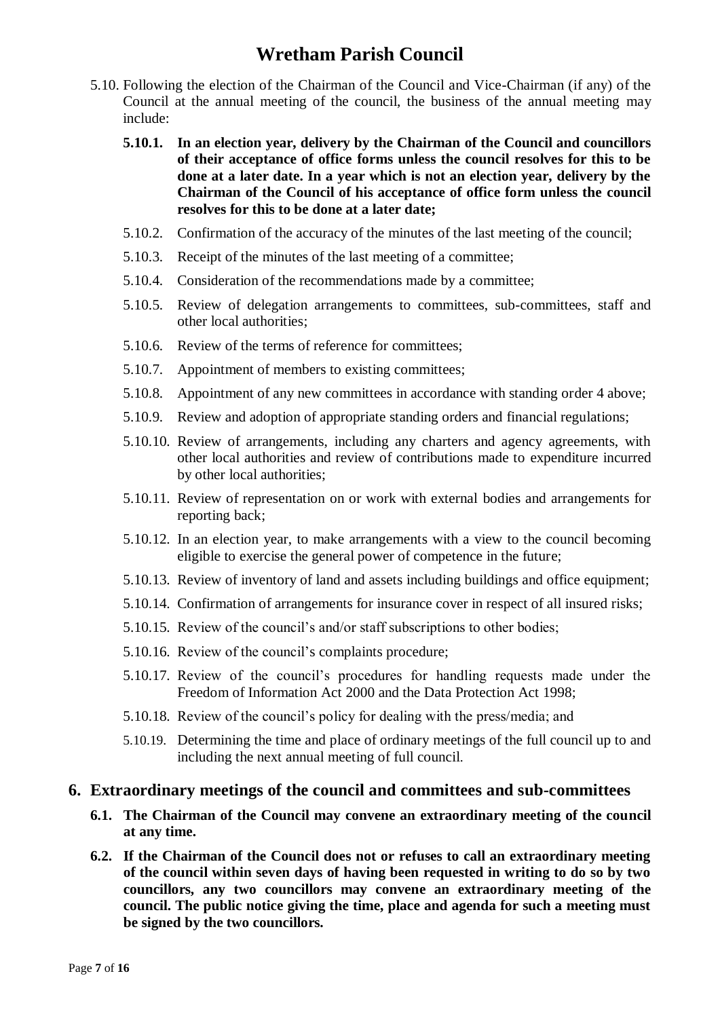- 5.10. Following the election of the Chairman of the Council and Vice-Chairman (if any) of the Council at the annual meeting of the council, the business of the annual meeting may include:
	- **5.10.1. In an election year, delivery by the Chairman of the Council and councillors of their acceptance of office forms unless the council resolves for this to be done at a later date. In a year which is not an election year, delivery by the Chairman of the Council of his acceptance of office form unless the council resolves for this to be done at a later date;**
	- 5.10.2. Confirmation of the accuracy of the minutes of the last meeting of the council;
	- 5.10.3. Receipt of the minutes of the last meeting of a committee;
	- 5.10.4. Consideration of the recommendations made by a committee;
	- 5.10.5. Review of delegation arrangements to committees, sub-committees, staff and other local authorities;
	- 5.10.6. Review of the terms of reference for committees;
	- 5.10.7. Appointment of members to existing committees;
	- 5.10.8. Appointment of any new committees in accordance with standing order 4 above;
	- 5.10.9. Review and adoption of appropriate standing orders and financial regulations;
	- 5.10.10. Review of arrangements, including any charters and agency agreements, with other local authorities and review of contributions made to expenditure incurred by other local authorities;
	- 5.10.11. Review of representation on or work with external bodies and arrangements for reporting back;
	- 5.10.12. In an election year, to make arrangements with a view to the council becoming eligible to exercise the general power of competence in the future;
	- 5.10.13. Review of inventory of land and assets including buildings and office equipment;
	- 5.10.14. Confirmation of arrangements for insurance cover in respect of all insured risks;
	- 5.10.15. Review of the council's and/or staff subscriptions to other bodies;
	- 5.10.16. Review of the council's complaints procedure;
	- 5.10.17. Review of the council's procedures for handling requests made under the Freedom of Information Act 2000 and the Data Protection Act 1998;
	- 5.10.18. Review of the council's policy for dealing with the press/media; and
	- 5.10.19. Determining the time and place of ordinary meetings of the full council up to and including the next annual meeting of full council.

#### <span id="page-6-0"></span>**6. Extraordinary meetings of the council and committees and sub-committees**

- **6.1. The Chairman of the Council may convene an extraordinary meeting of the council at any time.**
- **6.2. If the Chairman of the Council does not or refuses to call an extraordinary meeting of the council within seven days of having been requested in writing to do so by two councillors, any two councillors may convene an extraordinary meeting of the council. The public notice giving the time, place and agenda for such a meeting must be signed by the two councillors.**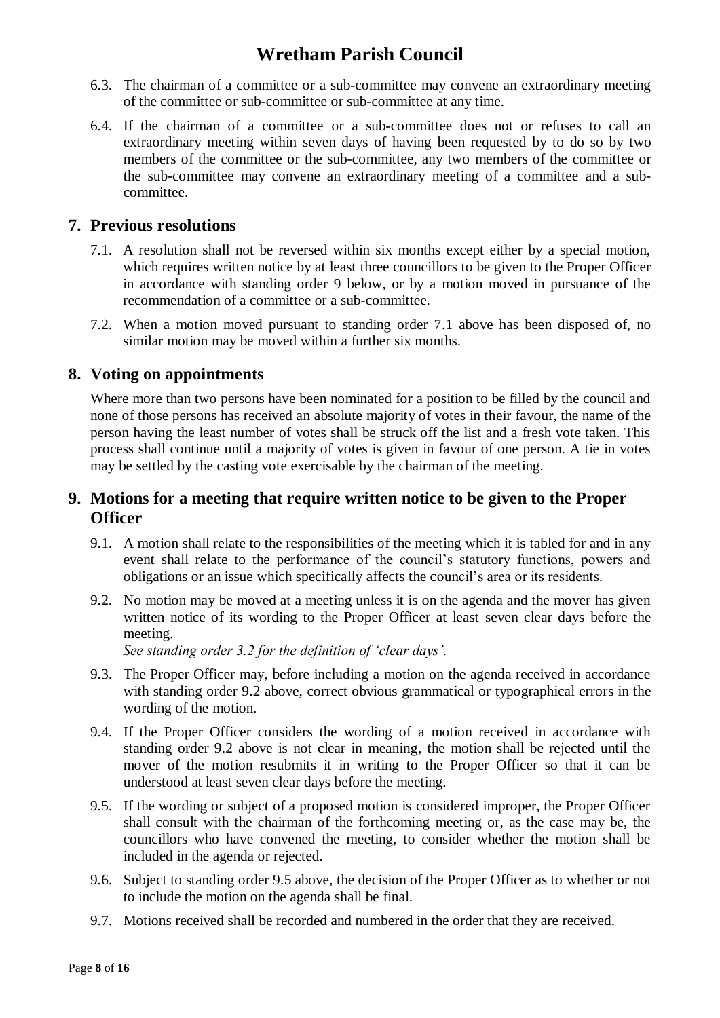- 6.3. The chairman of a committee or a sub-committee may convene an extraordinary meeting of the committee or sub-committee or sub-committee at any time.
- 6.4. If the chairman of a committee or a sub-committee does not or refuses to call an extraordinary meeting within seven days of having been requested by to do so by two members of the committee or the sub-committee, any two members of the committee or the sub-committee may convene an extraordinary meeting of a committee and a subcommittee.

### <span id="page-7-0"></span>**7. Previous resolutions**

- 7.1. A resolution shall not be reversed within six months except either by a special motion, which requires written notice by at least three councillors to be given to the Proper Officer in accordance with standing order 9 below, or by a motion moved in pursuance of the recommendation of a committee or a sub-committee.
- 7.2. When a motion moved pursuant to standing order 7.1 above has been disposed of, no similar motion may be moved within a further six months.

### <span id="page-7-1"></span>**8. Voting on appointments**

Where more than two persons have been nominated for a position to be filled by the council and none of those persons has received an absolute majority of votes in their favour, the name of the person having the least number of votes shall be struck off the list and a fresh vote taken. This process shall continue until a majority of votes is given in favour of one person. A tie in votes may be settled by the casting vote exercisable by the chairman of the meeting.

### <span id="page-7-2"></span>**9. Motions for a meeting that require written notice to be given to the Proper Officer**

- 9.1. A motion shall relate to the responsibilities of the meeting which it is tabled for and in any event shall relate to the performance of the council's statutory functions, powers and obligations or an issue which specifically affects the council's area or its residents.
- 9.2. No motion may be moved at a meeting unless it is on the agenda and the mover has given written notice of its wording to the Proper Officer at least seven clear days before the meeting.

*See standing order 3.2 for the definition of 'clear days'.*

- 9.3. The Proper Officer may, before including a motion on the agenda received in accordance with standing order 9.2 above, correct obvious grammatical or typographical errors in the wording of the motion.
- 9.4. If the Proper Officer considers the wording of a motion received in accordance with standing order 9.2 above is not clear in meaning, the motion shall be rejected until the mover of the motion resubmits it in writing to the Proper Officer so that it can be understood at least seven clear days before the meeting.
- 9.5. If the wording or subject of a proposed motion is considered improper, the Proper Officer shall consult with the chairman of the forthcoming meeting or, as the case may be, the councillors who have convened the meeting, to consider whether the motion shall be included in the agenda or rejected.
- 9.6. Subject to standing order 9.5 above, the decision of the Proper Officer as to whether or not to include the motion on the agenda shall be final.
- 9.7. Motions received shall be recorded and numbered in the order that they are received.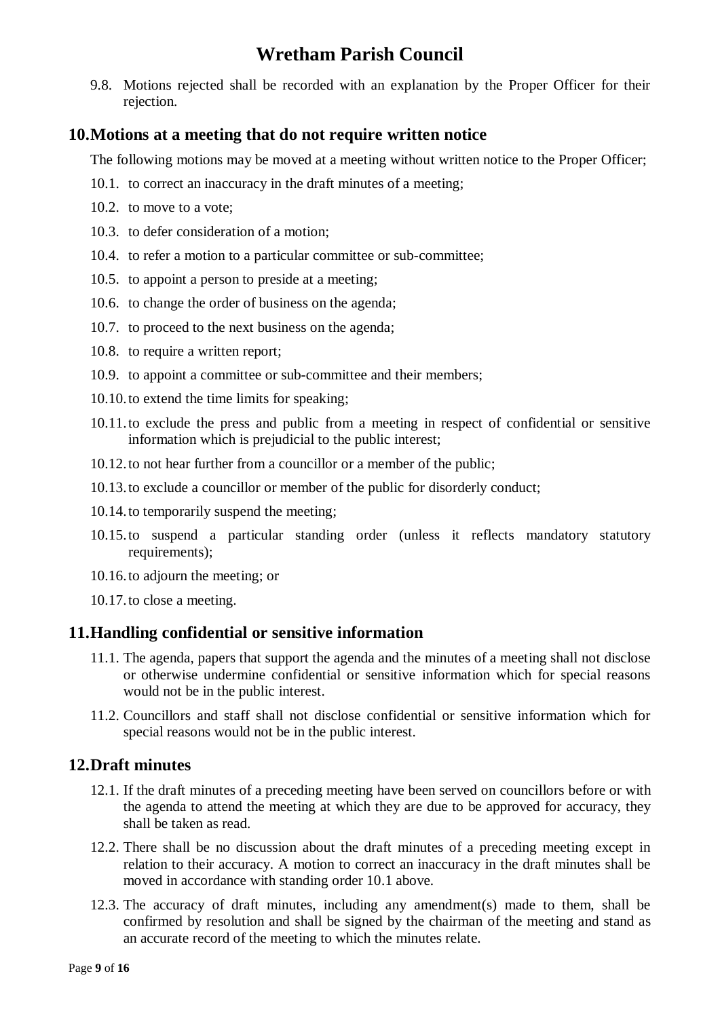9.8. Motions rejected shall be recorded with an explanation by the Proper Officer for their rejection.

### <span id="page-8-0"></span>**10.Motions at a meeting that do not require written notice**

The following motions may be moved at a meeting without written notice to the Proper Officer;

- 10.1. to correct an inaccuracy in the draft minutes of a meeting;
- 10.2. to move to a vote;
- 10.3. to defer consideration of a motion;
- 10.4. to refer a motion to a particular committee or sub-committee;
- 10.5. to appoint a person to preside at a meeting;
- 10.6. to change the order of business on the agenda;
- 10.7. to proceed to the next business on the agenda;
- 10.8. to require a written report;
- 10.9. to appoint a committee or sub-committee and their members;
- 10.10.to extend the time limits for speaking;
- 10.11.to exclude the press and public from a meeting in respect of confidential or sensitive information which is prejudicial to the public interest;
- 10.12.to not hear further from a councillor or a member of the public;
- 10.13.to exclude a councillor or member of the public for disorderly conduct;
- 10.14.to temporarily suspend the meeting;
- 10.15.to suspend a particular standing order (unless it reflects mandatory statutory requirements):
- 10.16.to adjourn the meeting; or
- 10.17.to close a meeting.

### <span id="page-8-1"></span>**11.Handling confidential or sensitive information**

- 11.1. The agenda, papers that support the agenda and the minutes of a meeting shall not disclose or otherwise undermine confidential or sensitive information which for special reasons would not be in the public interest.
- 11.2. Councillors and staff shall not disclose confidential or sensitive information which for special reasons would not be in the public interest.

### <span id="page-8-2"></span>**12.Draft minutes**

- 12.1. If the draft minutes of a preceding meeting have been served on councillors before or with the agenda to attend the meeting at which they are due to be approved for accuracy, they shall be taken as read.
- 12.2. There shall be no discussion about the draft minutes of a preceding meeting except in relation to their accuracy. A motion to correct an inaccuracy in the draft minutes shall be moved in accordance with standing order 10.1 above.
- 12.3. The accuracy of draft minutes, including any amendment(s) made to them, shall be confirmed by resolution and shall be signed by the chairman of the meeting and stand as an accurate record of the meeting to which the minutes relate.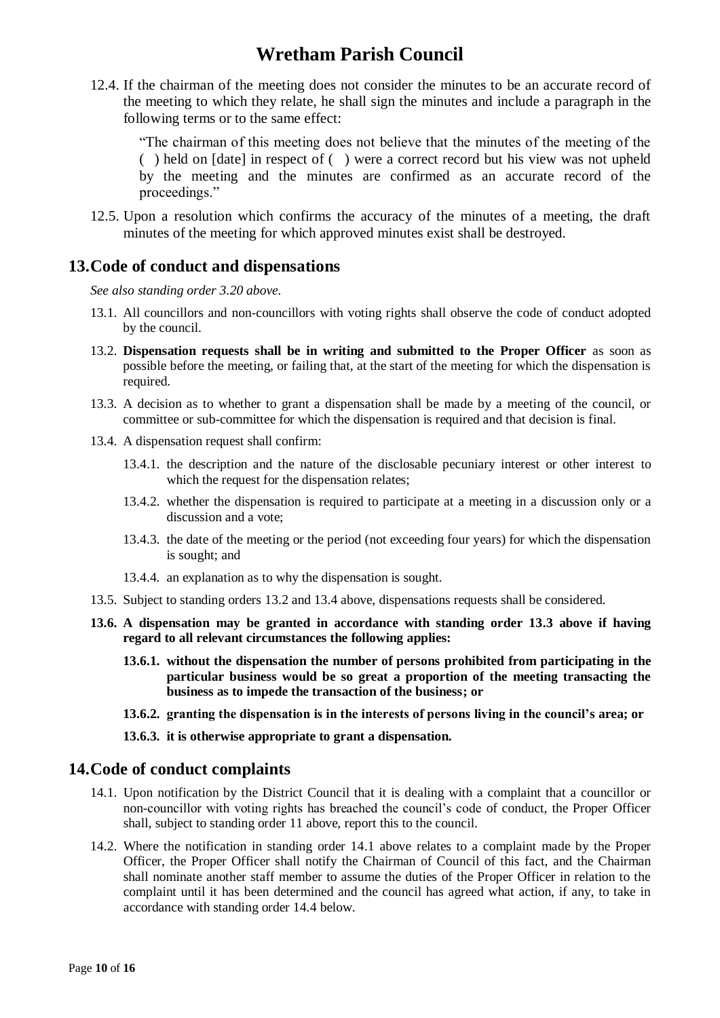12.4. If the chairman of the meeting does not consider the minutes to be an accurate record of the meeting to which they relate, he shall sign the minutes and include a paragraph in the following terms or to the same effect:

"The chairman of this meeting does not believe that the minutes of the meeting of the ( ) held on [date] in respect of ( ) were a correct record but his view was not upheld by the meeting and the minutes are confirmed as an accurate record of the proceedings."

12.5. Upon a resolution which confirms the accuracy of the minutes of a meeting, the draft minutes of the meeting for which approved minutes exist shall be destroyed.

#### <span id="page-9-0"></span>**13.Code of conduct and dispensations**

*See also standing order 3.20 above.*

- 13.1. All councillors and non-councillors with voting rights shall observe the code of conduct adopted by the council.
- 13.2. **Dispensation requests shall be in writing and submitted to the Proper Officer** as soon as possible before the meeting, or failing that, at the start of the meeting for which the dispensation is required.
- 13.3. A decision as to whether to grant a dispensation shall be made by a meeting of the council, or committee or sub-committee for which the dispensation is required and that decision is final.
- 13.4. A dispensation request shall confirm:
	- 13.4.1. the description and the nature of the disclosable pecuniary interest or other interest to which the request for the dispensation relates;
	- 13.4.2. whether the dispensation is required to participate at a meeting in a discussion only or a discussion and a vote;
	- 13.4.3. the date of the meeting or the period (not exceeding four years) for which the dispensation is sought; and
	- 13.4.4. an explanation as to why the dispensation is sought.
- 13.5. Subject to standing orders 13.2 and 13.4 above, dispensations requests shall be considered.
- **13.6. A dispensation may be granted in accordance with standing order 13.3 above if having regard to all relevant circumstances the following applies:**
	- **13.6.1. without the dispensation the number of persons prohibited from participating in the particular business would be so great a proportion of the meeting transacting the business as to impede the transaction of the business; or**
	- **13.6.2. granting the dispensation is in the interests of persons living in the council's area; or**
	- **13.6.3. it is otherwise appropriate to grant a dispensation.**

#### <span id="page-9-1"></span>**14.Code of conduct complaints**

- 14.1. Upon notification by the District Council that it is dealing with a complaint that a councillor or non-councillor with voting rights has breached the council's code of conduct, the Proper Officer shall, subject to standing order 11 above, report this to the council.
- 14.2. Where the notification in standing order 14.1 above relates to a complaint made by the Proper Officer, the Proper Officer shall notify the Chairman of Council of this fact, and the Chairman shall nominate another staff member to assume the duties of the Proper Officer in relation to the complaint until it has been determined and the council has agreed what action, if any, to take in accordance with standing order 14.4 below.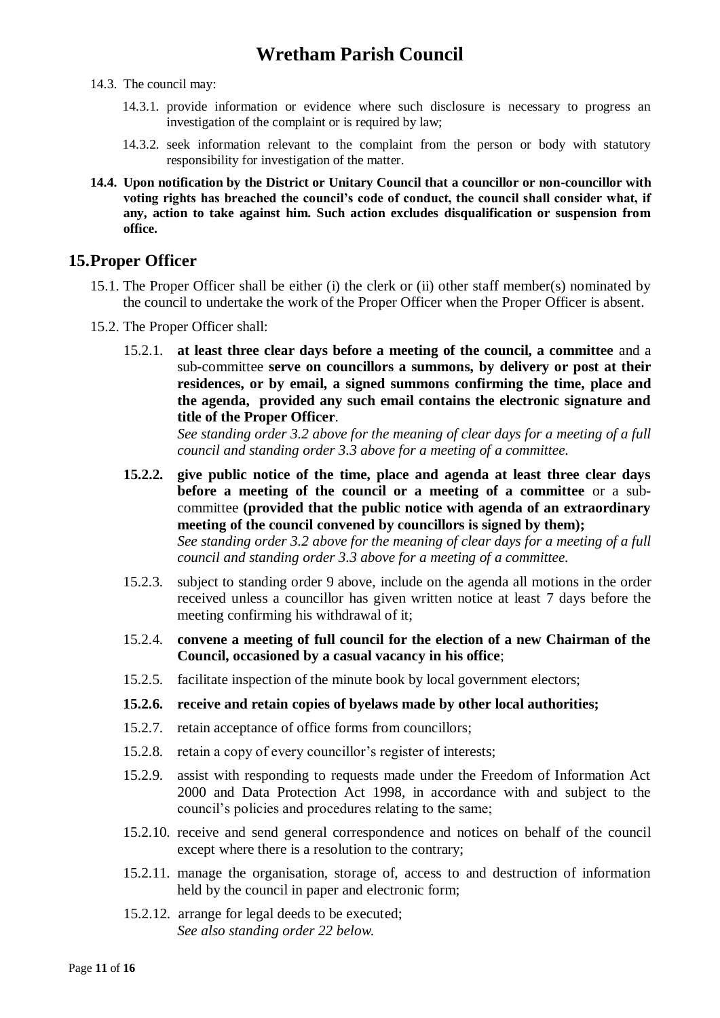- 14.3. The council may:
	- 14.3.1. provide information or evidence where such disclosure is necessary to progress an investigation of the complaint or is required by law;
	- 14.3.2. seek information relevant to the complaint from the person or body with statutory responsibility for investigation of the matter.
- **14.4. Upon notification by the District or Unitary Council that a councillor or non-councillor with voting rights has breached the council's code of conduct, the council shall consider what, if any, action to take against him. Such action excludes disqualification or suspension from office.**

#### <span id="page-10-0"></span>**15.Proper Officer**

- 15.1. The Proper Officer shall be either (i) the clerk or (ii) other staff member(s) nominated by the council to undertake the work of the Proper Officer when the Proper Officer is absent.
- 15.2. The Proper Officer shall:
	- 15.2.1. **at least three clear days before a meeting of the council, a committee** and a sub-committee **serve on councillors a summons, by delivery or post at their residences, or by email, a signed summons confirming the time, place and the agenda, provided any such email contains the electronic signature and title of the Proper Officer**.

*See standing order 3.2 above for the meaning of clear days for a meeting of a full council and standing order 3.3 above for a meeting of a committee.*

- **15.2.2. give public notice of the time, place and agenda at least three clear days before a meeting of the council or a meeting of a committee** or a subcommittee **(provided that the public notice with agenda of an extraordinary meeting of the council convened by councillors is signed by them);** *See standing order 3.2 above for the meaning of clear days for a meeting of a full council and standing order 3.3 above for a meeting of a committee.*
- 15.2.3. subject to standing order 9 above, include on the agenda all motions in the order received unless a councillor has given written notice at least 7 days before the meeting confirming his withdrawal of it;
- 15.2.4. **convene a meeting of full council for the election of a new Chairman of the Council, occasioned by a casual vacancy in his office**;
- 15.2.5. facilitate inspection of the minute book by local government electors;

#### **15.2.6. receive and retain copies of byelaws made by other local authorities;**

- 15.2.7. retain acceptance of office forms from councillors;
- 15.2.8. retain a copy of every councillor's register of interests;
- 15.2.9. assist with responding to requests made under the Freedom of Information Act 2000 and Data Protection Act 1998, in accordance with and subject to the council's policies and procedures relating to the same;
- 15.2.10. receive and send general correspondence and notices on behalf of the council except where there is a resolution to the contrary;
- 15.2.11. manage the organisation, storage of, access to and destruction of information held by the council in paper and electronic form;
- 15.2.12. arrange for legal deeds to be executed; *See also standing order 22 below.*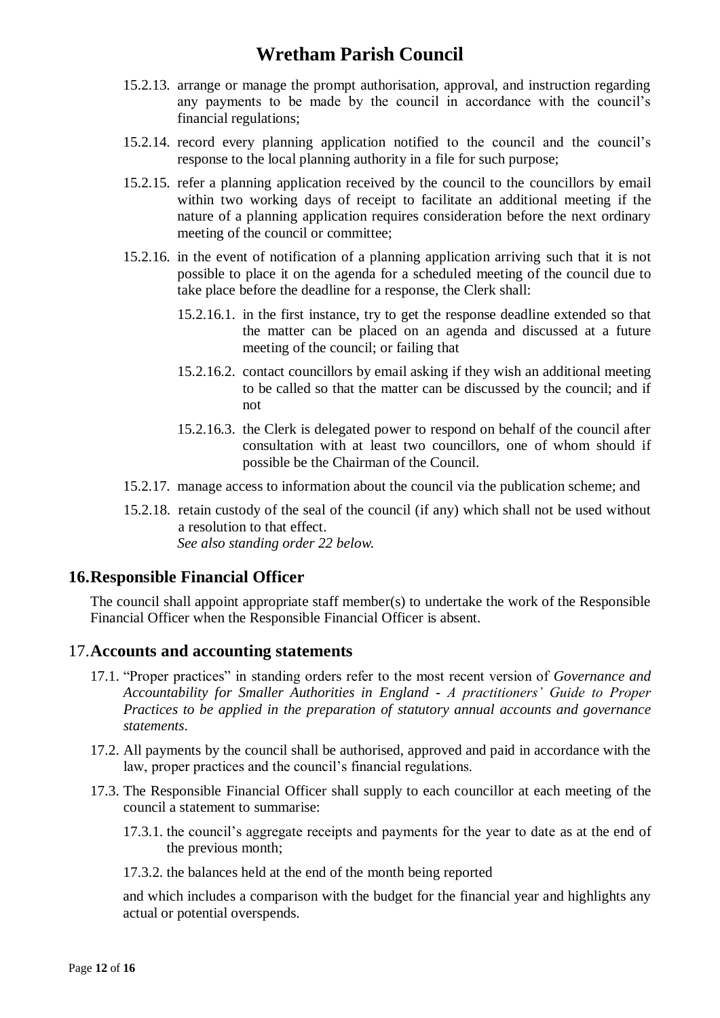- 15.2.13. arrange or manage the prompt authorisation, approval, and instruction regarding any payments to be made by the council in accordance with the council's financial regulations;
- 15.2.14. record every planning application notified to the council and the council's response to the local planning authority in a file for such purpose;
- 15.2.15. refer a planning application received by the council to the councillors by email within two working days of receipt to facilitate an additional meeting if the nature of a planning application requires consideration before the next ordinary meeting of the council or committee;
- 15.2.16. in the event of notification of a planning application arriving such that it is not possible to place it on the agenda for a scheduled meeting of the council due to take place before the deadline for a response, the Clerk shall:
	- 15.2.16.1. in the first instance, try to get the response deadline extended so that the matter can be placed on an agenda and discussed at a future meeting of the council; or failing that
	- 15.2.16.2. contact councillors by email asking if they wish an additional meeting to be called so that the matter can be discussed by the council; and if not
	- 15.2.16.3. the Clerk is delegated power to respond on behalf of the council after consultation with at least two councillors, one of whom should if possible be the Chairman of the Council.
- 15.2.17. manage access to information about the council via the publication scheme; and
- 15.2.18. retain custody of the seal of the council (if any) which shall not be used without a resolution to that effect. *See also standing order 22 below.*

### <span id="page-11-0"></span>**16.Responsible Financial Officer**

The council shall appoint appropriate staff member(s) to undertake the work of the Responsible Financial Officer when the Responsible Financial Officer is absent.

### <span id="page-11-1"></span>17.**Accounts and accounting statements**

- 17.1. "Proper practices" in standing orders refer to the most recent version of *Governance and Accountability for Smaller Authorities in England - A practitioners' Guide to Proper Practices to be applied in the preparation of statutory annual accounts and governance statements*.
- 17.2. All payments by the council shall be authorised, approved and paid in accordance with the law, proper practices and the council's financial regulations.
- 17.3. The Responsible Financial Officer shall supply to each councillor at each meeting of the council a statement to summarise:
	- 17.3.1. the council's aggregate receipts and payments for the year to date as at the end of the previous month;
	- 17.3.2. the balances held at the end of the month being reported

and which includes a comparison with the budget for the financial year and highlights any actual or potential overspends.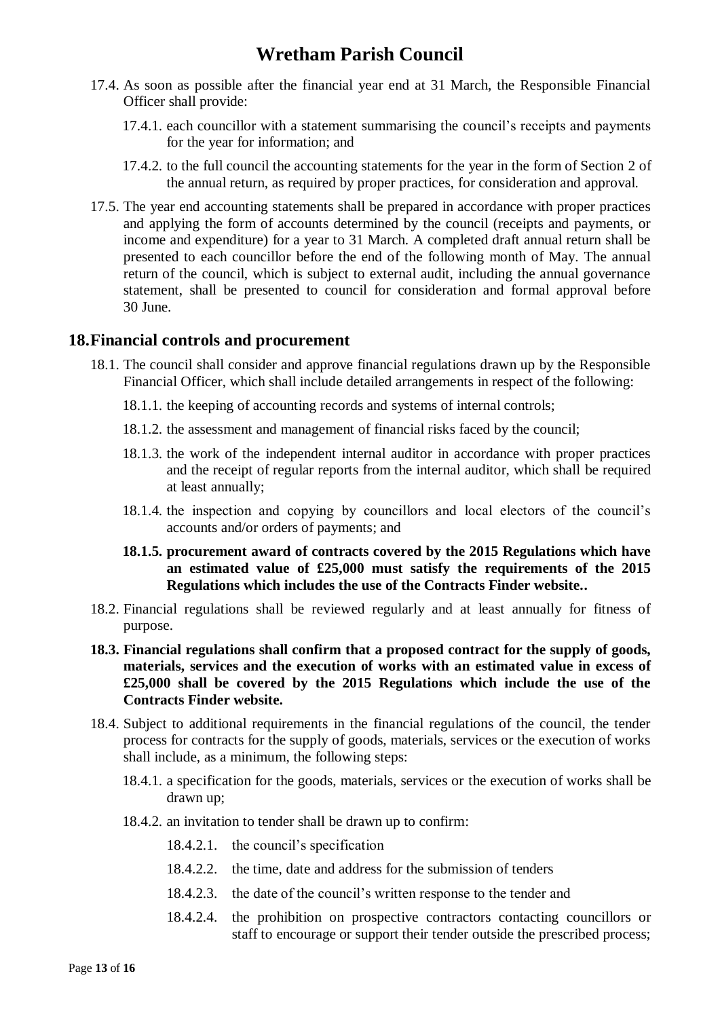- 17.4. As soon as possible after the financial year end at 31 March, the Responsible Financial Officer shall provide:
	- 17.4.1. each councillor with a statement summarising the council's receipts and payments for the year for information; and
	- 17.4.2. to the full council the accounting statements for the year in the form of Section 2 of the annual return, as required by proper practices, for consideration and approval.
- 17.5. The year end accounting statements shall be prepared in accordance with proper practices and applying the form of accounts determined by the council (receipts and payments, or income and expenditure) for a year to 31 March. A completed draft annual return shall be presented to each councillor before the end of the following month of May. The annual return of the council, which is subject to external audit, including the annual governance statement, shall be presented to council for consideration and formal approval before 30 June.

### <span id="page-12-0"></span>**18.Financial controls and procurement**

- 18.1. The council shall consider and approve financial regulations drawn up by the Responsible Financial Officer, which shall include detailed arrangements in respect of the following:
	- 18.1.1. the keeping of accounting records and systems of internal controls;
	- 18.1.2. the assessment and management of financial risks faced by the council;
	- 18.1.3. the work of the independent internal auditor in accordance with proper practices and the receipt of regular reports from the internal auditor, which shall be required at least annually;
	- 18.1.4. the inspection and copying by councillors and local electors of the council's accounts and/or orders of payments; and
	- **18.1.5. procurement award of contracts covered by the 2015 Regulations which have an estimated value of £25,000 must satisfy the requirements of the 2015 Regulations which includes the use of the Contracts Finder website..**
- 18.2. Financial regulations shall be reviewed regularly and at least annually for fitness of purpose.
- **18.3. Financial regulations shall confirm that a proposed contract for the supply of goods, materials, services and the execution of works with an estimated value in excess of £25,000 shall be covered by the 2015 Regulations which include the use of the Contracts Finder website.**
- 18.4. Subject to additional requirements in the financial regulations of the council, the tender process for contracts for the supply of goods, materials, services or the execution of works shall include, as a minimum, the following steps:
	- 18.4.1. a specification for the goods, materials, services or the execution of works shall be drawn up;
	- 18.4.2. an invitation to tender shall be drawn up to confirm:
		- 18.4.2.1. the council's specification
		- 18.4.2.2. the time, date and address for the submission of tenders
		- 18.4.2.3. the date of the council's written response to the tender and
		- 18.4.2.4. the prohibition on prospective contractors contacting councillors or staff to encourage or support their tender outside the prescribed process;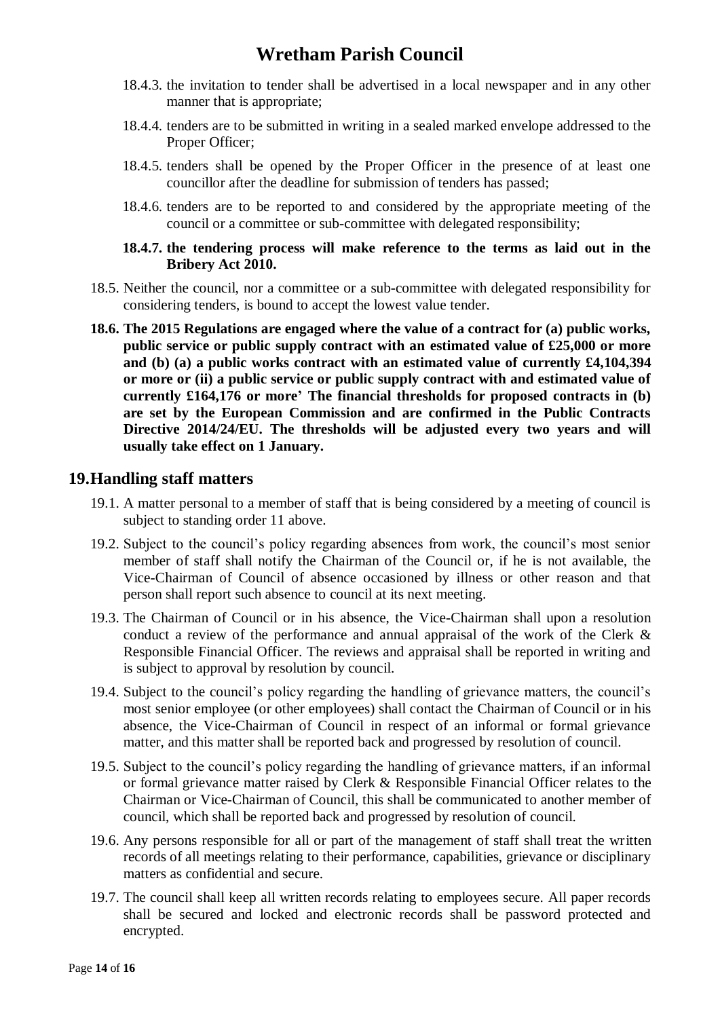- 18.4.3. the invitation to tender shall be advertised in a local newspaper and in any other manner that is appropriate;
- 18.4.4. tenders are to be submitted in writing in a sealed marked envelope addressed to the Proper Officer;
- 18.4.5. tenders shall be opened by the Proper Officer in the presence of at least one councillor after the deadline for submission of tenders has passed;
- 18.4.6. tenders are to be reported to and considered by the appropriate meeting of the council or a committee or sub-committee with delegated responsibility;

#### **18.4.7. the tendering process will make reference to the terms as laid out in the Bribery Act 2010.**

- 18.5. Neither the council, nor a committee or a sub-committee with delegated responsibility for considering tenders, is bound to accept the lowest value tender.
- **18.6. The 2015 Regulations are engaged where the value of a contract for (a) public works, public service or public supply contract with an estimated value of £25,000 or more and (b) (a) a public works contract with an estimated value of currently £4,104,394 or more or (ii) a public service or public supply contract with and estimated value of currently £164,176 or more' The financial thresholds for proposed contracts in (b) are set by the European Commission and are confirmed in the Public Contracts Directive 2014/24/EU. The thresholds will be adjusted every two years and will usually take effect on 1 January.**

#### <span id="page-13-0"></span>**19.Handling staff matters**

- 19.1. A matter personal to a member of staff that is being considered by a meeting of council is subject to standing order 11 above.
- 19.2. Subject to the council's policy regarding absences from work, the council's most senior member of staff shall notify the Chairman of the Council or, if he is not available, the Vice-Chairman of Council of absence occasioned by illness or other reason and that person shall report such absence to council at its next meeting.
- 19.3. The Chairman of Council or in his absence, the Vice-Chairman shall upon a resolution conduct a review of the performance and annual appraisal of the work of the Clerk & Responsible Financial Officer. The reviews and appraisal shall be reported in writing and is subject to approval by resolution by council.
- 19.4. Subject to the council's policy regarding the handling of grievance matters, the council's most senior employee (or other employees) shall contact the Chairman of Council or in his absence, the Vice-Chairman of Council in respect of an informal or formal grievance matter, and this matter shall be reported back and progressed by resolution of council.
- 19.5. Subject to the council's policy regarding the handling of grievance matters, if an informal or formal grievance matter raised by Clerk & Responsible Financial Officer relates to the Chairman or Vice-Chairman of Council, this shall be communicated to another member of council, which shall be reported back and progressed by resolution of council.
- 19.6. Any persons responsible for all or part of the management of staff shall treat the written records of all meetings relating to their performance, capabilities, grievance or disciplinary matters as confidential and secure.
- 19.7. The council shall keep all written records relating to employees secure. All paper records shall be secured and locked and electronic records shall be password protected and encrypted.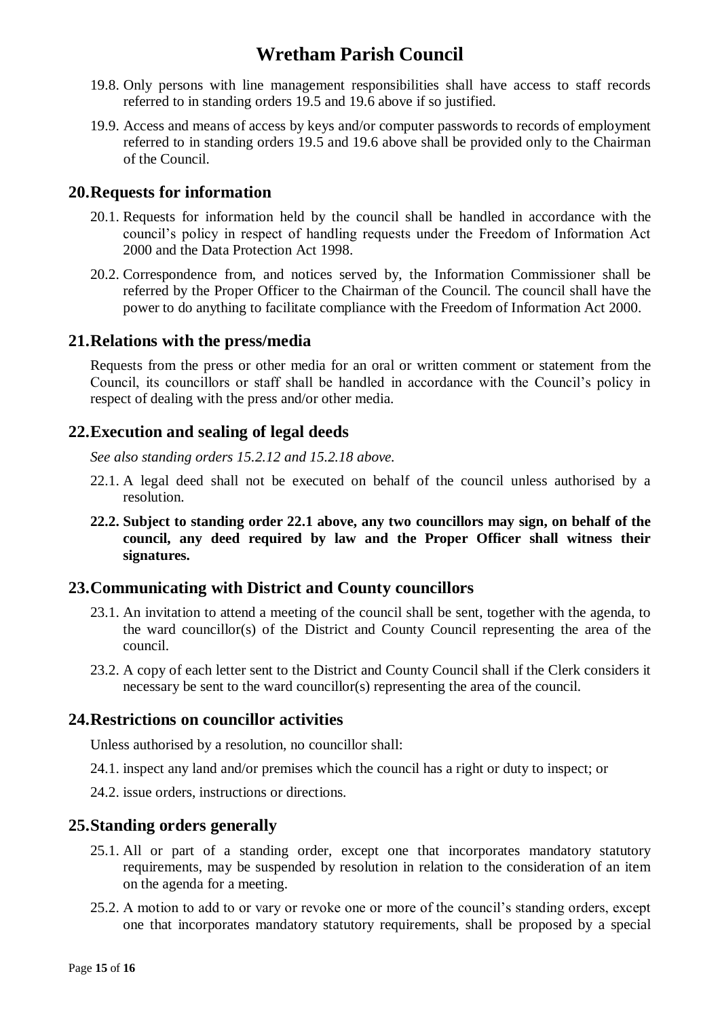- 19.8. Only persons with line management responsibilities shall have access to staff records referred to in standing orders 19.5 and 19.6 above if so justified.
- 19.9. Access and means of access by keys and/or computer passwords to records of employment referred to in standing orders 19.5 and 19.6 above shall be provided only to the Chairman of the Council.

#### <span id="page-14-0"></span>**20.Requests for information**

- 20.1. Requests for information held by the council shall be handled in accordance with the council's policy in respect of handling requests under the Freedom of Information Act 2000 and the Data Protection Act 1998.
- 20.2. Correspondence from, and notices served by, the Information Commissioner shall be referred by the Proper Officer to the Chairman of the Council. The council shall have the power to do anything to facilitate compliance with the Freedom of Information Act 2000.

#### <span id="page-14-1"></span>**21.Relations with the press/media**

Requests from the press or other media for an oral or written comment or statement from the Council, its councillors or staff shall be handled in accordance with the Council's policy in respect of dealing with the press and/or other media.

### <span id="page-14-2"></span>**22.Execution and sealing of legal deeds**

*See also standing orders 15.2.12 and 15.2.18 above.*

- 22.1. A legal deed shall not be executed on behalf of the council unless authorised by a resolution.
- **22.2. Subject to standing order 22.1 above, any two councillors may sign, on behalf of the council, any deed required by law and the Proper Officer shall witness their signatures.**

### <span id="page-14-3"></span>**23.Communicating with District and County councillors**

- 23.1. An invitation to attend a meeting of the council shall be sent, together with the agenda, to the ward councillor(s) of the District and County Council representing the area of the council.
- 23.2. A copy of each letter sent to the District and County Council shall if the Clerk considers it necessary be sent to the ward councillor(s) representing the area of the council.

### <span id="page-14-4"></span>**24.Restrictions on councillor activities**

Unless authorised by a resolution, no councillor shall:

- 24.1. inspect any land and/or premises which the council has a right or duty to inspect; or
- 24.2. issue orders, instructions or directions.

### <span id="page-14-5"></span>**25.Standing orders generally**

- 25.1. All or part of a standing order, except one that incorporates mandatory statutory requirements, may be suspended by resolution in relation to the consideration of an item on the agenda for a meeting.
- 25.2. A motion to add to or vary or revoke one or more of the council's standing orders, except one that incorporates mandatory statutory requirements, shall be proposed by a special